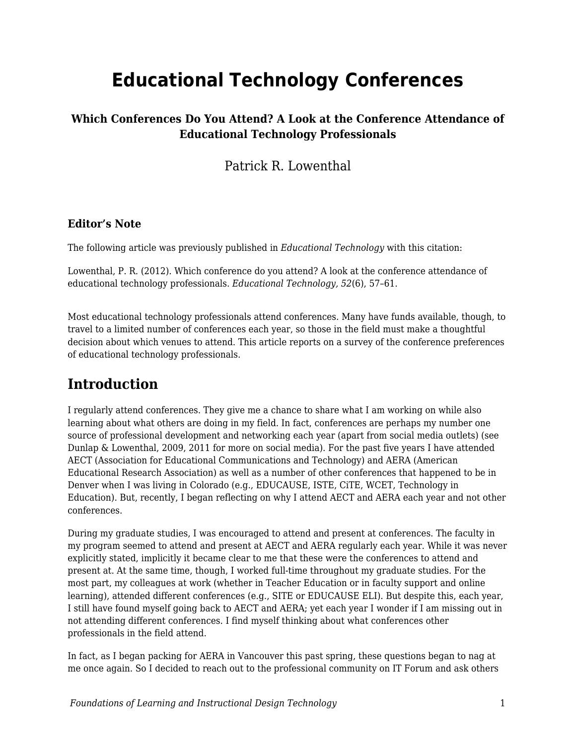# **Educational Technology Conferences**

### **Which Conferences Do You Attend? A Look at the Conference Attendance of Educational Technology Professionals**

Patrick R. Lowenthal

#### **Editor's Note**

The following article was previously published in *Educational Technology* with this citation:

Lowenthal, P. R. (2012). Which conference do you attend? A look at the conference attendance of educational technology professionals. *Educational Technology, 52*(6), 57–61.

Most educational technology professionals attend conferences. Many have funds available, though, to travel to a limited number of conferences each year, so those in the field must make a thoughtful decision about which venues to attend. This article reports on a survey of the conference preferences of educational technology professionals.

### **Introduction**

I regularly attend conferences. They give me a chance to share what I am working on while also learning about what others are doing in my field. In fact, conferences are perhaps my number one source of professional development and networking each year (apart from social media outlets) (see Dunlap & Lowenthal, 2009, 2011 for more on social media). For the past five years I have attended AECT (Association for Educational Communications and Technology) and AERA (American Educational Research Association) as well as a number of other conferences that happened to be in Denver when I was living in Colorado (e.g., EDUCAUSE, ISTE, CiTE, WCET, Technology in Education). But, recently, I began reflecting on why I attend AECT and AERA each year and not other conferences.

During my graduate studies, I was encouraged to attend and present at conferences. The faculty in my program seemed to attend and present at AECT and AERA regularly each year. While it was never explicitly stated, implicitly it became clear to me that these were the conferences to attend and present at. At the same time, though, I worked full-time throughout my graduate studies. For the most part, my colleagues at work (whether in Teacher Education or in faculty support and online learning), attended different conferences (e.g., SITE or EDUCAUSE ELI). But despite this, each year, I still have found myself going back to AECT and AERA; yet each year I wonder if I am missing out in not attending different conferences. I find myself thinking about what conferences other professionals in the field attend.

In fact, as I began packing for AERA in Vancouver this past spring, these questions began to nag at me once again. So I decided to reach out to the professional community on IT Forum and ask others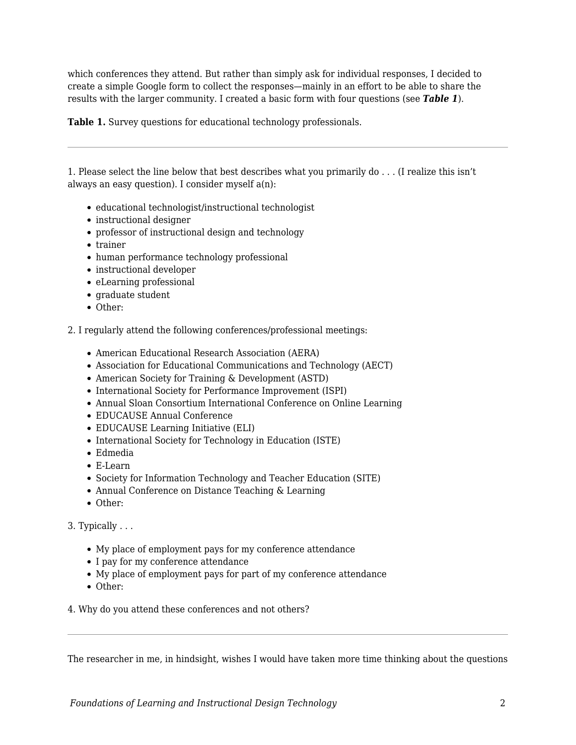which conferences they attend. But rather than simply ask for individual responses, I decided to create a simple Google form to collect the responses—mainly in an effort to be able to share the results with the larger community. I created a basic form with four questions (see *Table 1*).

**Table 1.** Survey questions for educational technology professionals.

1. Please select the line below that best describes what you primarily do . . . (I realize this isn't always an easy question). I consider myself a(n):

- educational technologist/instructional technologist
- instructional designer
- professor of instructional design and technology
- trainer
- human performance technology professional
- instructional developer
- eLearning professional
- graduate student
- Other:

2. I regularly attend the following conferences/professional meetings:

- American Educational Research Association (AERA)
- Association for Educational Communications and Technology (AECT)
- American Society for Training & Development (ASTD)
- International Society for Performance Improvement (ISPI)
- Annual Sloan Consortium International Conference on Online Learning
- EDUCAUSE Annual Conference
- EDUCAUSE Learning Initiative (ELI)
- International Society for Technology in Education (ISTE)
- Edmedia
- E-Learn
- Society for Information Technology and Teacher Education (SITE)
- Annual Conference on Distance Teaching & Learning
- Other:

3. Typically . . .

- My place of employment pays for my conference attendance
- I pay for my conference attendance
- My place of employment pays for part of my conference attendance
- Other:
- 4. Why do you attend these conferences and not others?

The researcher in me, in hindsight, wishes I would have taken more time thinking about the questions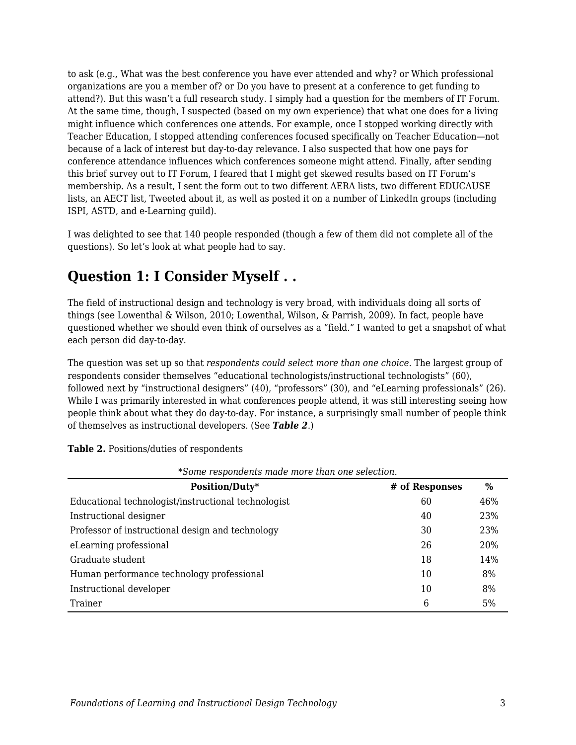to ask (e.g., What was the best conference you have ever attended and why? or Which professional organizations are you a member of? or Do you have to present at a conference to get funding to attend?). But this wasn't a full research study. I simply had a question for the members of IT Forum. At the same time, though, I suspected (based on my own experience) that what one does for a living might influence which conferences one attends. For example, once I stopped working directly with Teacher Education, I stopped attending conferences focused specifically on Teacher Education—not because of a lack of interest but day-to-day relevance. I also suspected that how one pays for conference attendance influences which conferences someone might attend. Finally, after sending this brief survey out to IT Forum, I feared that I might get skewed results based on IT Forum's membership. As a result, I sent the form out to two different AERA lists, two different EDUCAUSE lists, an AECT list, Tweeted about it, as well as posted it on a number of LinkedIn groups (including ISPI, ASTD, and e-Learning guild).

I was delighted to see that 140 people responded (though a few of them did not complete all of the questions). So let's look at what people had to say.

### **Question 1: I Consider Myself . .**

The field of instructional design and technology is very broad, with individuals doing all sorts of things (see Lowenthal & Wilson, 2010; Lowenthal, Wilson, & Parrish, 2009). In fact, people have questioned whether we should even think of ourselves as a "field." I wanted to get a snapshot of what each person did day-to-day.

The question was set up so that *respondents could select more than one choice*. The largest group of respondents consider themselves "educational technologists/instructional technologists" (60), followed next by "instructional designers" (40), "professors" (30), and "eLearning professionals" (26). While I was primarily interested in what conferences people attend, it was still interesting seeing how people think about what they do day-to-day. For instance, a surprisingly small number of people think of themselves as instructional developers. (See *Table 2*.)

| *Some respondents made more than one selection.     |                |               |  |  |
|-----------------------------------------------------|----------------|---------------|--|--|
| Position/Duty*                                      | # of Responses | $\frac{0}{0}$ |  |  |
| Educational technologist/instructional technologist | 60             | 46%           |  |  |
| Instructional designer                              | 40             | 23%           |  |  |
| Professor of instructional design and technology    | 30             | 23%           |  |  |
| eLearning professional                              | 26             | 20%           |  |  |
| Graduate student                                    | 18             | 14%           |  |  |
| Human performance technology professional           | 10             | 8%            |  |  |
| Instructional developer                             | 10             | 8%            |  |  |
| Trainer                                             | 6              | 5%            |  |  |

**Table 2.** Positions/duties of respondents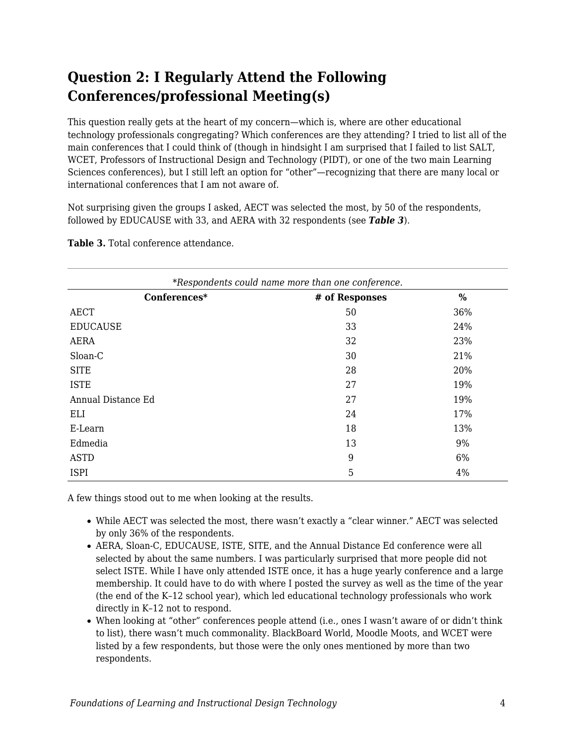# **Question 2: I Regularly Attend the Following Conferences/professional Meeting(s)**

This question really gets at the heart of my concern—which is, where are other educational technology professionals congregating? Which conferences are they attending? I tried to list all of the main conferences that I could think of (though in hindsight I am surprised that I failed to list SALT, WCET, Professors of Instructional Design and Technology (PIDT), or one of the two main Learning Sciences conferences), but I still left an option for "other"—recognizing that there are many local or international conferences that I am not aware of.

Not surprising given the groups I asked, AECT was selected the most, by 50 of the respondents, followed by EDUCAUSE with 33, and AERA with 32 respondents (see *Table 3*).

| *Respondents could name more than one conference. |                |      |  |
|---------------------------------------------------|----------------|------|--|
| Conferences*                                      | # of Responses | $\%$ |  |
| <b>AECT</b>                                       | 50             | 36%  |  |
| <b>EDUCAUSE</b>                                   | 33             | 24%  |  |
| <b>AERA</b>                                       | 32             | 23%  |  |
| Sloan-C                                           | 30             | 21%  |  |
| <b>SITE</b>                                       | 28             | 20%  |  |
| <b>ISTE</b>                                       | 27             | 19%  |  |
| Annual Distance Ed                                | 27             | 19%  |  |
| ELI                                               | 24             | 17%  |  |
| E-Learn                                           | 18             | 13%  |  |
| Edmedia                                           | 13             | 9%   |  |
| <b>ASTD</b>                                       | 9              | 6%   |  |
| <b>ISPI</b>                                       | 5              | 4%   |  |

**Table 3.** Total conference attendance.

A few things stood out to me when looking at the results.

- While AECT was selected the most, there wasn't exactly a "clear winner." AECT was selected by only 36% of the respondents.
- AERA, Sloan-C, EDUCAUSE, ISTE, SITE, and the Annual Distance Ed conference were all selected by about the same numbers. I was particularly surprised that more people did not select ISTE. While I have only attended ISTE once, it has a huge yearly conference and a large membership. It could have to do with where I posted the survey as well as the time of the year (the end of the K–12 school year), which led educational technology professionals who work directly in K–12 not to respond.
- When looking at "other" conferences people attend (i.e., ones I wasn't aware of or didn't think to list), there wasn't much commonality. BlackBoard World, Moodle Moots, and WCET were listed by a few respondents, but those were the only ones mentioned by more than two respondents.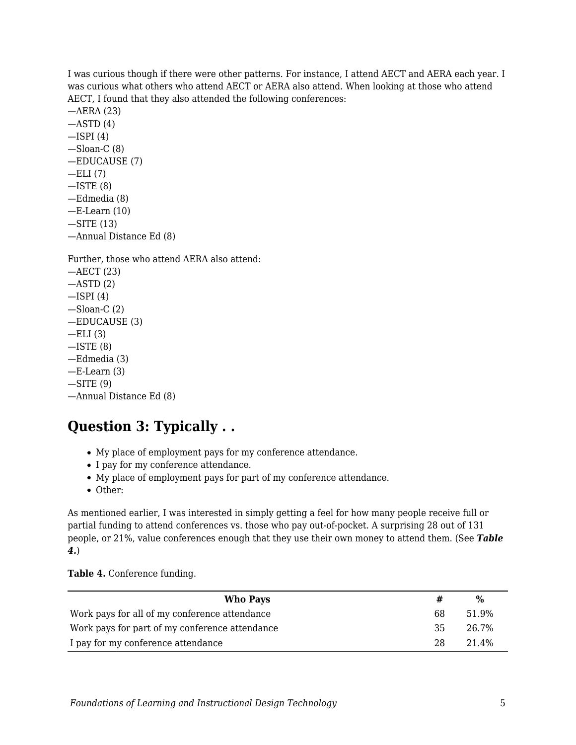I was curious though if there were other patterns. For instance, I attend AECT and AERA each year. I was curious what others who attend AECT or AERA also attend. When looking at those who attend AECT, I found that they also attended the following conferences:

—AERA (23)  $-$ ASTD $(4)$  $-$ ISPI $(4)$ —Sloan-C (8) —EDUCAUSE (7)  $-ELI(7)$  $-$ ISTE  $(8)$ —Edmedia (8)  $-E$ -Learn  $(10)$ —SITE (13) —Annual Distance Ed (8)

Further, those who attend AERA also attend:

—AECT (23)  $-$ ASTD $(2)$  $-$ ISPI $(4)$  $-S$ loan-C $(2)$ —EDUCAUSE (3)  $-ELI(3)$  $-$ ISTE  $(8)$ —Edmedia (3)  $-E$ -Learn  $(3)$  $-SITE(9)$ —Annual Distance Ed (8)

## **Question 3: Typically . .**

- My place of employment pays for my conference attendance.
- I pay for my conference attendance.
- My place of employment pays for part of my conference attendance.
- Other:

As mentioned earlier, I was interested in simply getting a feel for how many people receive full or partial funding to attend conferences vs. those who pay out-of-pocket. A surprising 28 out of 131 people, or 21%, value conferences enough that they use their own money to attend them. (See *Table 4.*)

**Table 4.** Conference funding.

| Who Pays                                       |    | %     |
|------------------------------------------------|----|-------|
| Work pays for all of my conference attendance  | 68 | 51.9% |
| Work pays for part of my conference attendance | 35 | 26.7% |
| I pay for my conference attendance             | 28 | 21.4% |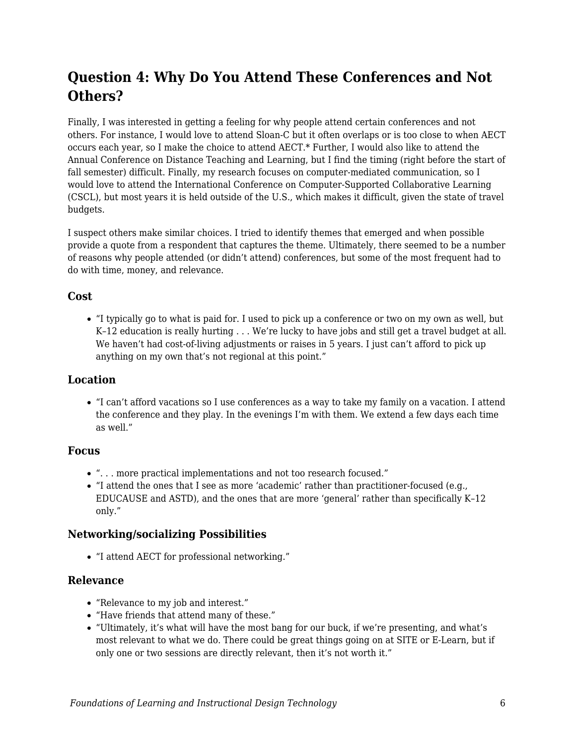## **Question 4: Why Do You Attend These Conferences and Not Others?**

Finally, I was interested in getting a feeling for why people attend certain conferences and not others. For instance, I would love to attend Sloan-C but it often overlaps or is too close to when AECT occurs each year, so I make the choice to attend AECT.\* Further, I would also like to attend the Annual Conference on Distance Teaching and Learning, but I find the timing (right before the start of fall semester) difficult. Finally, my research focuses on computer-mediated communication, so I would love to attend the International Conference on Computer-Supported Collaborative Learning (CSCL), but most years it is held outside of the U.S., which makes it difficult, given the state of travel budgets.

I suspect others make similar choices. I tried to identify themes that emerged and when possible provide a quote from a respondent that captures the theme. Ultimately, there seemed to be a number of reasons why people attended (or didn't attend) conferences, but some of the most frequent had to do with time, money, and relevance.

#### **Cost**

"I typically go to what is paid for. I used to pick up a conference or two on my own as well, but K–12 education is really hurting . . . We're lucky to have jobs and still get a travel budget at all. We haven't had cost-of-living adjustments or raises in 5 years. I just can't afford to pick up anything on my own that's not regional at this point."

#### **Location**

"I can't afford vacations so I use conferences as a way to take my family on a vacation. I attend the conference and they play. In the evenings I'm with them. We extend a few days each time as well."

#### **Focus**

- ". . . more practical implementations and not too research focused."
- "I attend the ones that I see as more 'academic' rather than practitioner-focused (e.g., EDUCAUSE and ASTD), and the ones that are more 'general' rather than specifically K–12 only."

#### **Networking/socializing Possibilities**

"I attend AECT for professional networking."

#### **Relevance**

- "Relevance to my job and interest."
- "Have friends that attend many of these."
- "Ultimately, it's what will have the most bang for our buck, if we're presenting, and what's most relevant to what we do. There could be great things going on at SITE or E-Learn, but if only one or two sessions are directly relevant, then it's not worth it."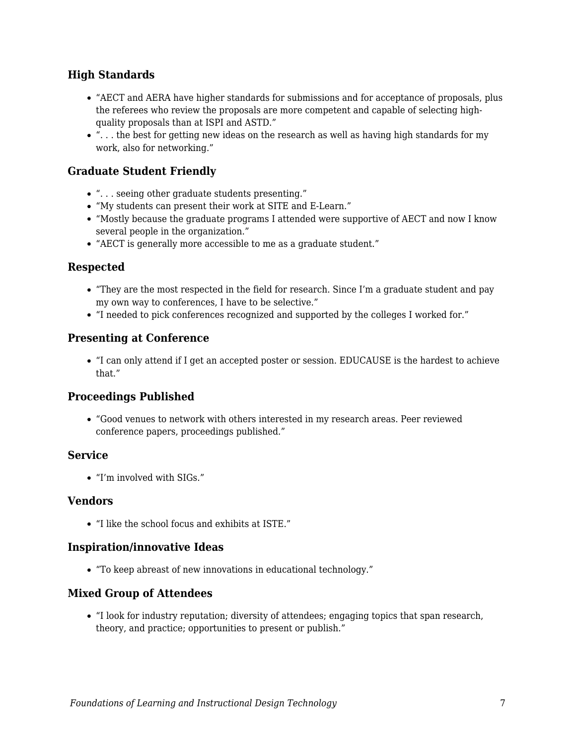#### **High Standards**

- "AECT and AERA have higher standards for submissions and for acceptance of proposals, plus the referees who review the proposals are more competent and capable of selecting highquality proposals than at ISPI and ASTD."
- "... the best for getting new ideas on the research as well as having high standards for my work, also for networking."

#### **Graduate Student Friendly**

- ". . . seeing other graduate students presenting."
- "My students can present their work at SITE and E-Learn."
- "Mostly because the graduate programs I attended were supportive of AECT and now I know several people in the organization."
- "AECT is generally more accessible to me as a graduate student."

#### **Respected**

- "They are the most respected in the field for research. Since I'm a graduate student and pay my own way to conferences, I have to be selective."
- "I needed to pick conferences recognized and supported by the colleges I worked for."

#### **Presenting at Conference**

"I can only attend if I get an accepted poster or session. EDUCAUSE is the hardest to achieve that."

#### **Proceedings Published**

"Good venues to network with others interested in my research areas. Peer reviewed conference papers, proceedings published."

#### **Service**

"I'm involved with SIGs."

#### **Vendors**

"I like the school focus and exhibits at ISTE."

#### **Inspiration/innovative Ideas**

"To keep abreast of new innovations in educational technology."

#### **Mixed Group of Attendees**

"I look for industry reputation; diversity of attendees; engaging topics that span research, theory, and practice; opportunities to present or publish."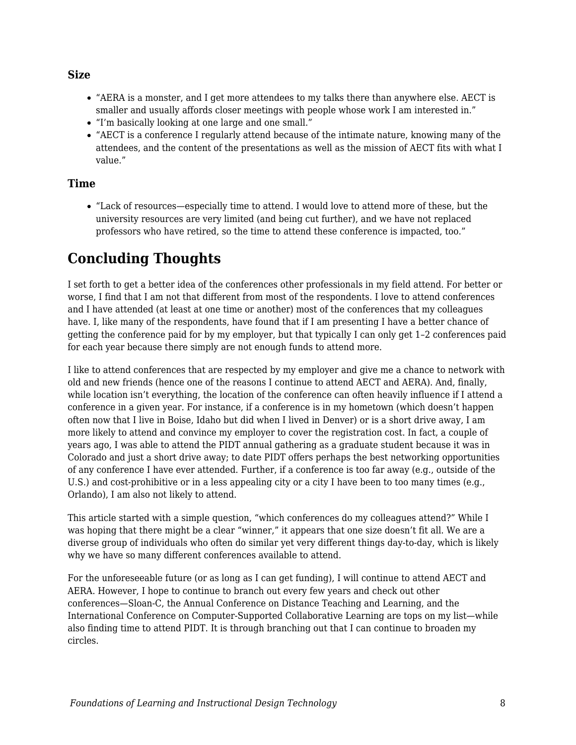#### **Size**

- "AERA is a monster, and I get more attendees to my talks there than anywhere else. AECT is smaller and usually affords closer meetings with people whose work I am interested in."
- "I'm basically looking at one large and one small."
- "AECT is a conference I regularly attend because of the intimate nature, knowing many of the attendees, and the content of the presentations as well as the mission of AECT fits with what I value."

#### **Time**

"Lack of resources—especially time to attend. I would love to attend more of these, but the university resources are very limited (and being cut further), and we have not replaced professors who have retired, so the time to attend these conference is impacted, too."

### **Concluding Thoughts**

I set forth to get a better idea of the conferences other professionals in my field attend. For better or worse, I find that I am not that different from most of the respondents. I love to attend conferences and I have attended (at least at one time or another) most of the conferences that my colleagues have. I, like many of the respondents, have found that if I am presenting I have a better chance of getting the conference paid for by my employer, but that typically I can only get 1–2 conferences paid for each year because there simply are not enough funds to attend more.

I like to attend conferences that are respected by my employer and give me a chance to network with old and new friends (hence one of the reasons I continue to attend AECT and AERA). And, finally, while location isn't everything, the location of the conference can often heavily influence if I attend a conference in a given year. For instance, if a conference is in my hometown (which doesn't happen often now that I live in Boise, Idaho but did when I lived in Denver) or is a short drive away, I am more likely to attend and convince my employer to cover the registration cost. In fact, a couple of years ago, I was able to attend the PIDT annual gathering as a graduate student because it was in Colorado and just a short drive away; to date PIDT offers perhaps the best networking opportunities of any conference I have ever attended. Further, if a conference is too far away (e.g., outside of the U.S.) and cost-prohibitive or in a less appealing city or a city I have been to too many times (e.g., Orlando), I am also not likely to attend.

This article started with a simple question, "which conferences do my colleagues attend?" While I was hoping that there might be a clear "winner," it appears that one size doesn't fit all. We are a diverse group of individuals who often do similar yet very different things day-to-day, which is likely why we have so many different conferences available to attend.

For the unforeseeable future (or as long as I can get funding), I will continue to attend AECT and AERA. However, I hope to continue to branch out every few years and check out other conferences—Sloan-C, the Annual Conference on Distance Teaching and Learning, and the International Conference on Computer-Supported Collaborative Learning are tops on my list—while also finding time to attend PIDT. It is through branching out that I can continue to broaden my circles.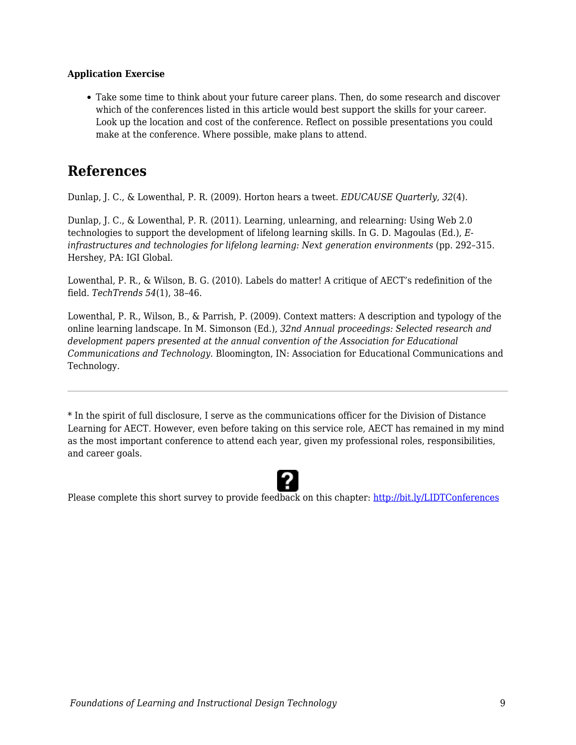#### **Application Exercise**

Take some time to think about your future career plans. Then, do some research and discover which of the conferences listed in this article would best support the skills for your career. Look up the location and cost of the conference. Reflect on possible presentations you could make at the conference. Where possible, make plans to attend.

### **References**

Dunlap, J. C., & Lowenthal, P. R. (2009). Horton hears a tweet. *EDUCAUSE Quarterly, 32*(4).

Dunlap, J. C., & Lowenthal, P. R. (2011). Learning, unlearning, and relearning: Using Web 2.0 technologies to support the development of lifelong learning skills. In G. D. Magoulas (Ed.), *Einfrastructures and technologies for lifelong learning: Next generation environments* (pp. 292–315. Hershey, PA: IGI Global.

Lowenthal, P. R., & Wilson, B. G. (2010). Labels do matter! A critique of AECT's redefinition of the field. *TechTrends 54*(1), 38–46.

Lowenthal, P. R., Wilson, B., & Parrish, P. (2009). Context matters: A description and typology of the online learning landscape. In M. Simonson (Ed.), *32nd Annual proceedings: Selected research and development papers presented at the annual convention of the Association for Educational Communications and Technology.* Bloomington, IN: Association for Educational Communications and Technology.

\* In the spirit of full disclosure, I serve as the communications officer for the Division of Distance Learning for AECT. However, even before taking on this service role, AECT has remained in my mind as the most important conference to attend each year, given my professional roles, responsibilities, and career goals.



Please complete this short survey to provide feedback on this chapter: <http://bit.ly/LIDTConferences>